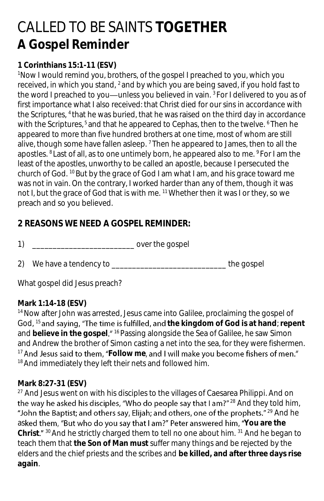# CALLED TO BE SAINTS **TOGETHER A Gospel Reminder**

### **1 Corinthians 15:1-11 (ESV)**

<sup>1</sup>Now I would remind you, brothers, of the gospel I preached to you, which you received, in which you stand, <sup>2</sup> and by which you are being saved, if you hold fast to the word I preached to you—unless you believed in vain.  $3$  For I delivered to you as of first importance what I also received: that Christ died for our sins in accordance with the Scriptures, <sup>4</sup> that he was buried, that he was raised on the third day in accordance with the Scriptures,<sup>5</sup> and that he appeared to Cephas, then to the twelve. <sup>6</sup> Then he appeared to more than five hundred brothers at one time, most of whom are still alive, though some have fallen asleep.  $<sup>7</sup>$  Then he appeared to James, then to all the</sup> apostles. <sup>8</sup> Last of all, as to one untimely born, he appeared also to me. <sup>9</sup> For I am the least of the apostles, unworthy to be called an apostle, because I persecuted the church of God. <sup>10</sup> But by the grace of God I am what I am, and his grace toward me was not in vain. On the contrary, I worked harder than any of them, though it was not I, but the grace of God that is with me. <sup>11</sup>Whether then it was I or they, so we preach and so you believed.

## **2 REASONS WE NEED A GOSPEL REMINDER:**

1) and  $\overline{a}$  over the gospel

2) We have a tendency to \_\_\_\_\_\_\_\_\_\_\_\_\_\_\_\_\_\_\_\_\_\_\_\_\_\_\_\_\_\_\_\_\_\_ the gospel

What gospel did Jesus preach?

#### **Mark 1:14-18 (ESV)**

<sup>14</sup> Now after John was arrested, Jesus came into Galilee, proclaiming the gospel of God, <sup>15</sup> and saying, "The time is fulfilled, and the kingdom of God is at hand; repent and believe in the gospel."<sup>16</sup> Passing alongside the Sea of Galilee, he saw Simon and Andrew the brother of Simon casting a net into the sea, for they were fishermen. <sup>17</sup> And Jesus said to them, "Follow me, and I will make you become fishers of men." <sup>18</sup> And immediately they left their nets and followed him.

#### **Mark 8:27-31 (ESV)**

<sup>27</sup> And Jesus went on with his disciples to the villages of Caesarea Philippi. And on the way he asked his disciples, "Who do people say that I am?"<sup>28</sup> And they told him, "John the Baptist; and others say, Elijah; and others, one of the prophets."  $29$  And he asked them, "But who do you say that I am?" Peter answered him, "You are the Christ." <sup>30</sup> And he strictly charged them to tell no one about him. <sup>31</sup> And he began to teach them that **the Son of Man must** suffer many things and be rejected by the elders and the chief priests and the scribes and **be killed, and after three days rise again**.